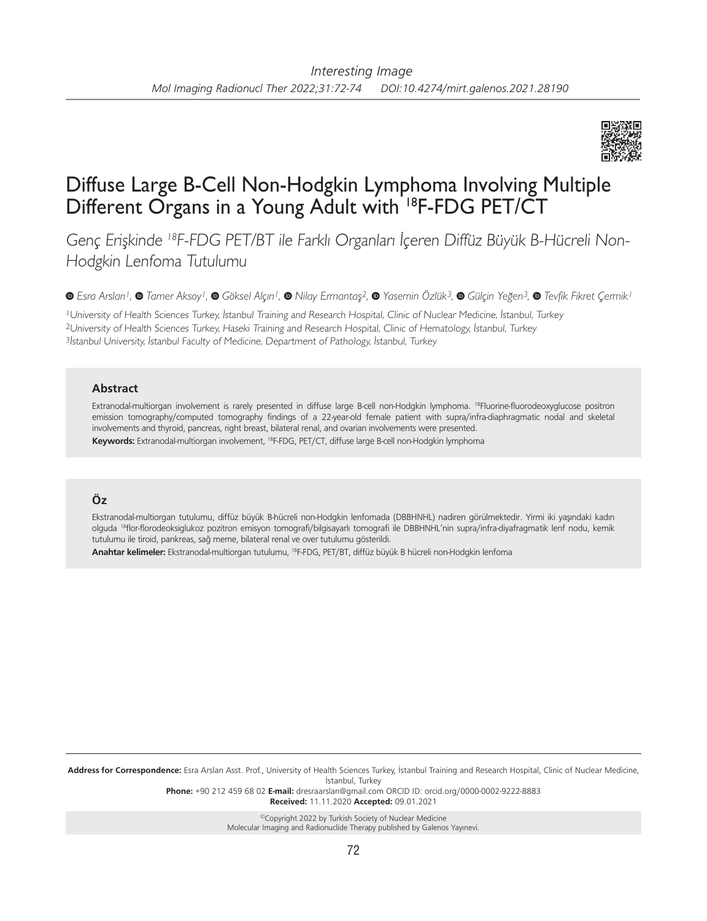

# Diffuse Large B-Cell Non-Hodgkin Lymphoma Involving Multiple Different Organs in a Young Adult with 18F-FDG PET/CT

Genç Erişkinde 18F-FDG PET/BT ile Farklı Organları İçeren Diffüz Büyük B-Hücreli Non-Hodgkin Lenfoma Tutulumu

*Esra Arslan1, Tamer Aksoy1,Göksel Alçın1, Nilay Ermantaş2,Yasemin Özlük3,Gülçin Yeğen3,Tevfik Fikret Çermik1*

<sup>1</sup>University of Health Sciences Turkey, İstanbul Training and Research Hospital, Clinic of Nuclear Medicine, İstanbul, Turkey <sup>2</sup>University of Health Sciences Turkey, Haseki Training and Research Hospital, Clinic of Hematology, İstanbul, Turkey <sup>3</sup>İstanbul University, İstanbul Faculty of Medicine, Department of Pathology, İstanbul, Turkey

### **Abstract**

Extranodal-multiorgan involvement is rarely presented in diffuse large B-cell non-Hodgkin lymphoma. 18Fluorine-fluorodeoxyglucose positron emission tomography/computed tomography findings of a 22-year-old female patient with supra/infra-diaphragmatic nodal and skeletal involvements and thyroid, pancreas, right breast, bilateral renal, and ovarian involvements were presented. **Keywords:** Extranodal-multiorgan involvement, 18F-FDG, PET/CT, diffuse large B-cell non-Hodgkin lymphoma

## **Öz**

Ekstranodal-multiorgan tutulumu, diffüz büyük B-hücreli non-Hodgkin lenfomada (DBBHNHL) nadiren görülmektedir. Yirmi iki yaşındaki kadın olguda 18flor-florodeoksiglukoz pozitron emisyon tomografi/bilgisayarlı tomografi ile DBBHNHL'nin supra/infra-diyafragmatik lenf nodu, kemik tutulumu ile tiroid, pankreas, sağ meme, bilateral renal ve over tutulumu gösterildi.

**Anahtar kelimeler:** Ekstranodal-multiorgan tutulumu, 18F-FDG, PET/BT, diffüz büyük B hücreli non-Hodgkin lenfoma

**Address for Correspondence:** Esra Arslan Asst. Prof., University of Health Sciences Turkey, İstanbul Training and Research Hospital, Clinic of Nuclear Medicine, İstanbul, Turkey

**Phone:** +90 212 459 68 02 **E-mail:** dresraarslan@gmail.com ORCID ID: orcid.org/0000-0002-9222-8883 **Received:** 11.11.2020 **Accepted:** 09.01.2021

> ©Copyright 2022 by Turkish Society of Nuclear Medicine Molecular Imaging and Radionuclide Therapy published by Galenos Yayınevi.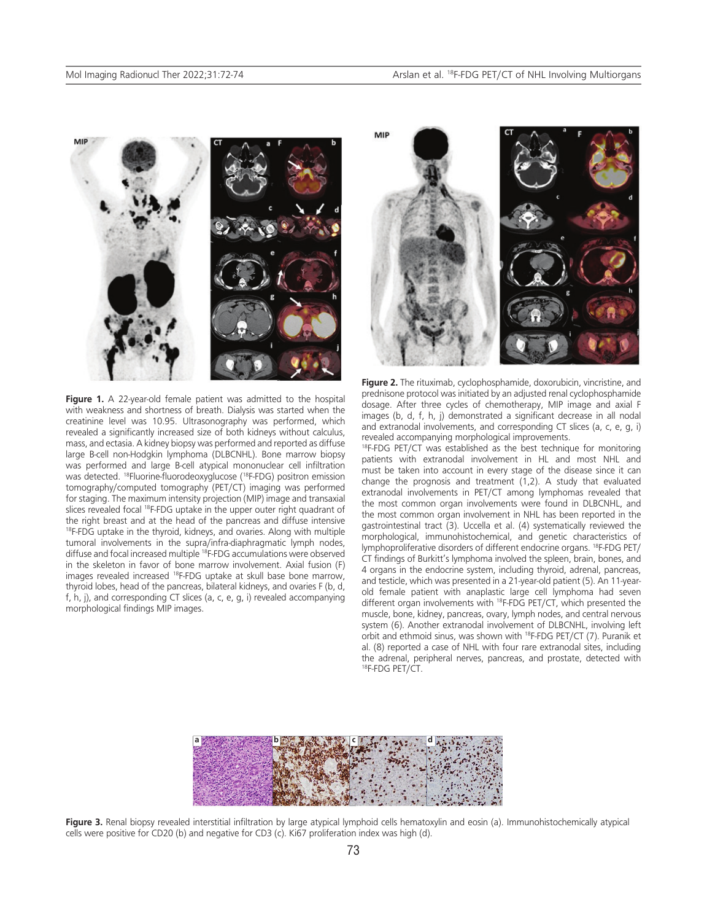

Figure 1. A 22-year-old female patient was admitted to the hospital with weakness and shortness of breath. Dialysis was started when the creatinine level was 10.95. Ultrasonography was performed, which revealed a significantly increased size of both kidneys without calculus, mass, and ectasia. A kidney biopsy was performed and reported as diffuse large B-cell non-Hodgkin lymphoma (DLBCNHL). Bone marrow biopsy was performed and large B-cell atypical mononuclear cell infiltration was detected. 18Fluorine-fluorodeoxyglucose (18F-FDG) positron emission tomography/computed tomography (PET/CT) imaging was performed for staging. The maximum intensity projection (MIP) image and transaxial slices revealed focal <sup>18</sup>F-FDG uptake in the upper outer right quadrant of the right breast and at the head of the pancreas and diffuse intensive <sup>18</sup>F-FDG uptake in the thyroid, kidneys, and ovaries. Along with multiple tumoral involvements in the supra/infra-diaphragmatic lymph nodes, diffuse and focal increased multiple <sup>18</sup>F-FDG accumulations were observed in the skeleton in favor of bone marrow involvement. Axial fusion (F) images revealed increased 18F-FDG uptake at skull base bone marrow, thyroid lobes, head of the pancreas, bilateral kidneys, and ovaries F (b, d, f, h, j), and corresponding CT slices (a, c, e, g, i) revealed accompanying morphological findings MIP images.



**Figure 2.** The rituximab, cyclophosphamide, doxorubicin, vincristine, and prednisone protocol was initiated by an adjusted renal cyclophosphamide dosage. After three cycles of chemotherapy, MIP image and axial F images (b, d, f, h, j) demonstrated a significant decrease in all nodal and extranodal involvements, and corresponding CT slices (a, c, e, g, i) revealed accompanying morphological improvements.

<sup>18</sup>F-FDG PET/CT was established as the best technique for monitoring patients with extranodal involvement in HL and most NHL and must be taken into account in every stage of the disease since it can change the prognosis and treatment (1,2). A study that evaluated extranodal involvements in PET/CT among lymphomas revealed that the most common organ involvements were found in DLBCNHL, and the most common organ involvement in NHL has been reported in the gastrointestinal tract (3). Uccella et al. (4) systematically reviewed the morphological, immunohistochemical, and genetic characteristics of lymphoproliferative disorders of different endocrine organs. 18F-FDG PET/ CT findings of Burkitt's lymphoma involved the spleen, brain, bones, and 4 organs in the endocrine system, including thyroid, adrenal, pancreas, and testicle, which was presented in a 21-year-old patient (5). An 11-yearold female patient with anaplastic large cell lymphoma had seven different organ involvements with 18F-FDG PET/CT, which presented the muscle, bone, kidney, pancreas, ovary, lymph nodes, and central nervous system (6). Another extranodal involvement of DLBCNHL, involving left orbit and ethmoid sinus, was shown with 18F-FDG PET/CT (7). Puranik et al. (8) reported a case of NHL with four rare extranodal sites, including the adrenal, peripheral nerves, pancreas, and prostate, detected with 18F-FDG PET/CT.



Figure 3. Renal biopsy revealed interstitial infiltration by large atypical lymphoid cells hematoxylin and eosin (a). Immunohistochemically atypical cells were positive for CD20 (b) and negative for CD3 (c). Ki67 proliferation index was high (d).